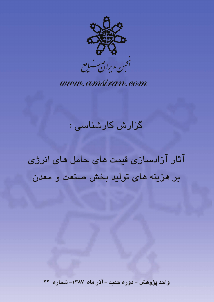

www.amsiran.com

# گزارش کارشناسی :

آثار آزادسازی قیمت های حامل های انرژی بر هزینه های تولید بخش صنعت و معدن

واحد پژوهش – دوره جدید – آذر ماه ۱۳۸۷– شماره ۲۲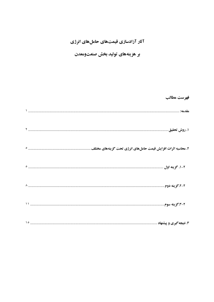## آثار آزادسازی قیمتهای حاملهای انرژی

### بر هزینههای تولید بخش صنعتومعدن

|                                                                | فهرست مطالب |
|----------------------------------------------------------------|-------------|
|                                                                |             |
|                                                                |             |
| ۲. محاسبه اثرات افزایش قیمت حاملهای انرژی تحت گزینههای مختلف . |             |
|                                                                |             |
|                                                                |             |
|                                                                |             |
|                                                                |             |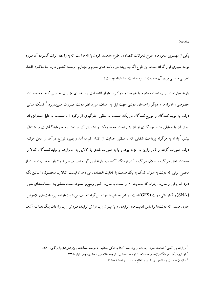یکی از مهمترین محورهای طرح تحولات اقتصادی، طرح هدفمند کردن یارانهها است که به واسطه اثرات گسترده آن مـورد توجه بسیاری قرار گرفته است. این طرح اگرچه ریشه در برنامـه هـای سـوم و چهـارم توسـعه کشـور دارد امـا تـاکنون اقـدام اجرایی مناسبی برای آن صورت نیذیرفته است. اما پارانه چیست؟

یارانه عبارتست از یرداخت مستقیم یا غیرمستیم دولتبی، امتیـاز اقتصـادی یـا اعطـای مزایـای خاصـبی کـه بـه موسسـات خصوصی، خانوارها و دیگر واحدهای دولتی جهت نیل به اهداف مورد نظر دولت صـورت مـ,یـذیرد.<sup>\</sup>کمـک مـالـ<sub>ی،</sub> دولت به تولیدکنندگان و توزیع کنندگان در یک صنعت به منظور جلوگیری از رکود آن صنعت، به دلیل استراتژیک بودن آن یا مسایلی مانند جلوگیری از افزایش قیمت محصولات و تشویق آن صنعت بـه سـرمایهگذار ی و اشـتغال بیشتر.<sup>۲</sup> یارانه به هرگونه پرداخت انتقالی که به منظور حمایت از اقشار کم درآمد و بهبود توزیع درآمد از محل خزانـه دولت صورت گرفته و قابل واریز به خزانه بوده و یا به صورت نقدی یا کالایی به خانوارهـا و تولیدکننـدگان کـالا و خدمات تعلق می گیرد، اطلاق می گردد. ٌ در فرهنگ آکسفورد یارانه ایـن گونـه تعریـف مـیشـود: یارانـه عبـارت اسـت از مجموع یولم , که دولت به عنوان کمک به یک صنعت یا فعالیت اقتصادی می دهد تا قیمت کـالا یـا محصـول را پـائین نگـه دارد. اما یکی از تعاریف یارانه که محدوده آن را نسبت به تعاریف قبلی وسیع تر نمـوده اسـت متعلـق بـه حسـابـهـای ملـی (SNA) و آمار مالی دولت (GFS) است. در این حسابها یارانه این گونه تعریف می شود: یارانهها پرداختهای بلاعوض جاری هستند که دولتها براساس فعالیتهای تولیدی و یا میـزان و یـا ارزش تولیـد، فـروش و یـا واردات بنگـاههـا بـه آنهـا

<sup>&</sup>lt;sup>'</sup>. وزارت بازرگانی ″ هدفمند نمودن یارانهها و پرداخت آنها به شکل مستقیم ″، موسسه مطالعات و پژوهشهای بازرگانی، ۱۳۸۰.

<sup>`.</sup> تودارو مايکل، فرهنگ واژهها و اصطلاحات توسعه اقتصادي، ترجمه غلامعلمي فرجادي، چاپ اول ١٣٦٨.

<sup>&</sup>lt;sup>۳</sup>. سازمان مدیریت و برنامهریزی کشور، ″ نظام هدفمند پارانهها″ (۱۳۸۰).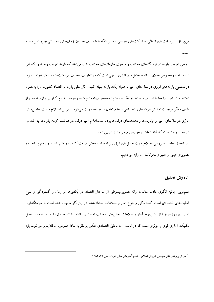میپردازند. پرداختهای انتقالی به شرکتهای عمومی و سایر بنگاهها با هـدف جبـران زیـانهـای عملیـاتی جـزو ایـن دسـته است.'

بررسی تعریف یارانه در فرهنگ&ای مختلف و از سوی سازمانهای مختلف نشان میدهد که یارانه تعریف واحـد و یکسـانی ندارد. اما درخصوص اطلاق یارانه به حاملهای انرژی بدیهی است که در تعاریف مختلف برداشتها متفـاوت خواهـد بـود. در مجموع پارانههای انرژی در سال های اخیر به عنوان یک پارانه پنهان کلیه آثار منفی پارانه بر اقتصاد کشورمان را به همراه داشته است. این یارانهها با تعریف قیمتها از یک سو مانع تخصیص بهینه منابع شده و موجب عـدم کـارایی بـازار شـده و از طرف دیگر موجبات افزایش هزینه های اجتماعی و عدم تعادل در بودجه دولت میشود.بنـابراین اصـلاح قیمـت حامـل۱هـای انرژی در سال@ای اخیر از اولویتها و دغدغههای دولتها بوده است.اعلام اخیر دولت در هدفمند کردن یارانهها نیز اقـدامی در همین راستا است که البته تبعات و عوارض مهمی را نیز در پی دارد.

در تحقیق حاضر به بررسی اصلاح قیمت حامل های انرژی بر اقتصاد و بخش صنعت کشور در قالب اعداد و ارقام پرداختـه و تصویری عینی از تغییر و تحولات آن ارایه می دهیم.

1. روش تحقيق

مهمترین جاذبه الگوی دادهـ ستانده، ارائه تصویرمبسوطی از ساختار اقتصاد در یک برهه از زمان و گستردگی و تنوع فعالیتهای اقتصادی است. گستردگی و تنوع آمار و اطلاعات استفادهشده در اینالگو موجب شده است تا سیاستگذاران اقتصادی روزیهروز نیاز بیشتری به آمار و اطلاعات بخش های مختلف اقتصادی داشته باشند. جدول داده ـ ستانده، در اصل تکنیک آماری قوی و مؤثری است که در قالب آن، تحلیل اقتصادی متکی بر نظریه تعادلءمومی، امکان پذیر می شود. پایه

<sup>'</sup>. مرکز پژوهشهای مجلس شورای اسلامی، نظام آمارهای مالی دولت، ص ۷۱، ۱۳۸۲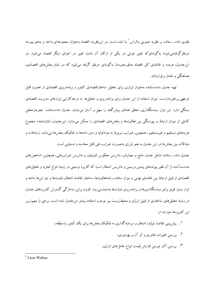نظری داده ـ ستانده بر نظریه عمومی والراس ٰ بنا شده است. در این نظریه، اقتصاد بهعنوان مجموعهای واحد و بههم پیوسته درنظرگرفتهمی شود؛ به گونهای که تغییر جزئی در یکی از ارکان آن باعث تغییر در اجزای دیگر اقتصاد می شود. در این جدول، عرضه و تقاضای کل اقتصاد بهطورهمزمان بهگونهای درنظر گرفته می شود که در تمام بخش های اقتصادی، هماهنگی و تعادل بر قرارباشد.

تهیه جدول داده ستانده بهعنوان ابزاری برای تحلیل ساختاراقتصادی کشور و برنامهریزی اقتصادی از اهمیت قابل توجهی برخورداراست. میزان استفاده از این جدول برای برنامهریزی و تحلیلها به درجه کارایی ابزارهای مدیریت اقتصادی بستگی دارد. این ابزار سیاستگذاری، تحقق اهداف پیش گفته را سهل و آسان می،نماید. جدول داده ستانده تجزیهوتحلیل کاملی از میزان ارتباط و پیوستگی بین فعالیتها و بخشهای اقتصادی را ممکن میسازد. اینجدول، نشاندهنده مجموع هزینههای مستقیم و غیرمستقیم ، همچنین، ضرایب مربوط به مواداولیه و سایر دادهها به تفکیک بخش ها می باشد. ارتباطات و مبادلات بین بخشها در این جدول به نحو بارزی بهصورت ضرایب فنی قابل محاسبه و دستیابی است. جدول داده ـ ستانده شامل جدول منابع و مصارف، ماتریس معکوس لئونتیف و ماتریس ضرایبفنی، همچنین، شاخصهای

بهدستآمده از آن نظیر پیوندهای پیشین و پسین و ماتریس اشتغال است که کاربرد وسیعی در زمینه انواع تجزیه و تحلیلهای اقتصادی از قبیل ارتباط بین تقاضای نهایی و میزان ستانده رشتهفعالیتها، ساختار تقاضا، اشتغال، قیمتها و جز اینها داشته و ابزار بسیار قوی برای سیاستگذاریها و برنامهریزی دولتها بهشمارمی(ود. افزون براین، بهتازگی گسترش کاربردهای جدول در زمینه تحلیل های ساختاری از قبیل انرژی و محیطزیست نیز موجب استفاده بیشتر اینجدول شده است. برخی از مهمترین این کاربر دها عبارتند از :

- ۱. پیش بینی تقاضا، تولید، اشتغال و سرمایه گذاری به تفکیک بخش ها برای یک کشور یا منطقه،
	- ۲. بررسی تغییرات فناوری و اثر آن بر بهرهوری،
	- ۳. بررسی آثار تورمی افزایش قیمت انواع حامل های انرژی،

<sup>&</sup>lt;sup>1.</sup> Leon Walras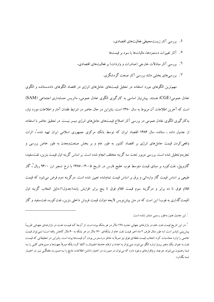- ٤. بررسی آثار زیستمحیطی فعالیتهای اقتصادی،
- ۰ آثار تغییرات دستمزدها، مالیاتها یا سود بر قیمتها
- ۲. بررسی آثار مبادلات خارجی (صادرات و واردات) بر فعالیتهای اقتصادی،
	- ۷. بررسیهای بخشی مانند بررسی آثار صنعت گردشگری.

مهمترین الگوهای مورد استفاده در تحلیل قیمتهای حاملهای انرژی در اقتصاد الگوهای داده ستانده و الگوی تعادل عمومی(CGE) هستند. پیش نیاز اساسی به کارگیری الگوی تعادل عمومی، ماتریس حسابداری اجتماعی (SAM) است که آخرین اطلاعات آن مربوط به سال ۱۳۸۰ است. بنابراین در حال حاضر در شرایط فقدان آمار و اطلاعات مورد نباز، به کارگیری الگوی تعادل عمومی در بررسی آثار اصلاح قیمتهای حاملهای انرژی میسر نیست. در تحقیق حاضر با استفاده از جدول داده ـ ستانده سال ۱۳۸۴ اقتصاد ایران که توسط بانک مرکزی جمهوری اسلامی ایران تهیه شده ، اثرات واقعی کردن قیمت حامل های انرژی بر اقتصاد کشور به طور عام و بر بخش صنعتومعدن به طور خاص بررسی و تجزیهوتحلیل شده است. بررسی مزبور تحت سه گزینه مختلف انجام شده است. بر اساس گزینه اول قیمت بنزین، نفتسفید، گازوییل، نفتکوره بر مبنای قیمت متوسط فوب خلیج فارس در تاریخ ۰۵–۱۳۸۲-۱۳۸۷ با نرخ تسعیر ارز ۹۴۰۰ ریال<sup>۲</sup>، گاز طبیعی بر اساس قیمت گاز وارداتی و برق بر اساس قیمت تمامشده تعیین شده است. درگزینه دوم فرض میشود که قیمت اقلام فوق تا ده برابر و درگزینه سوم قیمت اقلام فوق تا پنج برابر افزایش یابند(جدول۱).دلیل انتخاب گزینه اول (قیمت گذاری به فوب) این است که در متن پیشiویس لایحه دولت قیمت فروش داخلی بنزین، نفت کوره، نفتسفید و گاز

<sup>&</sup>lt;sup>'</sup>. این جدول هنوز بهطور رسمی منتشر نشده است.

<sup>&</sup>lt;sup>7</sup>. در این تاریخ قیمت نفت خام در بازارهای جهانی حدود ۱۲۸ دلار در هر بشکه بوده است. از آنجا کـه قیمـت نفـت در بازارهـای جهـانی تقریبـاً یش بینی ناپذیر است (به طور مثال ظرف ۲ ماه اخیر قیمت نفت خام از بشکهای ۱۴۰ دلار در هر بشکه به ۴۰ دلار کاهش یافته است) نمی توان قیمت خاصی را وارد محاسبات کرد. انتخاب قیمت نقطهای فوق نیز صرفاً به خاطر دردسترس بودن آن قیمتها بوده است. بنابراین در تحقیقاتی که قیمت نفت به عنوان يك متغير برونزا وارد الگو مي شود، نمي توان به اعداد و ارقام حاصله اطمينان و اكتفا كرد، بلكه صرفاً جهتها و مسيرهاي كلبي را بـه شما رهنمون میشوند. هرچند نرمافزارهای وجود دارد که میتوان در صورت در اختیار داشتن اطلاعات نتایج را بـه صـورت هفتگـی نیـز در اختیـار شما بگذارد.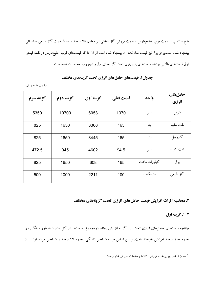مايع متناسب با قيمت فوب خليجفارس و قيمت فروش گاز داخلي نيز معادل ۷۵ درصد متوسط قيمت گاز طبيعي صادراتي ییشنهاد شده است.برای برق نیز قیمت تمامشده آن پیشنهاد شده است.از آنجا که قیمتهای فوب خلیجفارس در نقطه قیمتی فوق قیمتهای بالایی بودند، قیمتهای پایین تری تحت گزینههای اول و دوم وارد محاسبات شده است.

| گزينه سوم | گزينه دوم | گزينه اول | قيمت فعلى | واحد          | حاملهای<br>انرژي |
|-----------|-----------|-----------|-----------|---------------|------------------|
| 5350      | 10700     | 6053      | 1070      | ليتر          | بنزين            |
| 825       | 1650      | 8368      | 165       | ليتر          | نفت سفيد         |
| 825       | 1650      | 8445      | 165       | ليتر          | گازوييل          |
| 472.5     | 945       | 4602      | 94.5      | ليتر          | نفت کورہ         |
| 825       | 1650      | 608       | 165       | كيلو وات ساعت | برق              |
| 500       | 1000      | 2211      | 100       | مترمكعب       | گاز طبیعی        |

#### جدول ۱. قیمتهای حاملهای انرژی تحت گزینههای مختلف

(قیمتها به ریال)

٢. محاسبه اثرات افزایش قیمت حاملهای انرژی تحت گزینههای مختلف

٢-١. گزينه اول

چنانچه قیمتهای حاملهای انرژی تحت این گزینه افزایش یابند، درمجموع ً قیمتها در کل اقتصاد به طور میانگین در حدود ۱۰۸ درصد افزایش خواهند یافت. بر این اساس هزینه شاخص زندگی ٔ حدود ۴۷ درصد و شاخص هزینه تولید ۶۰

<sup>1</sup>. همان شاخص بهاي خرده فروشي كالاها و خدمات مصرفي خانوار است.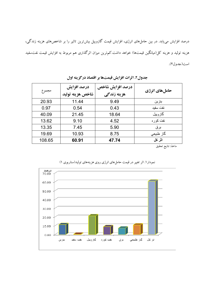درصد افزایش می یابد. در بین حاملهای انرژی، افزایش قیمت گازوییل بیشترین تاثیر را بر شاخصهای هزینه زندگی، هزینه تولید و هزینه کل(میانگین قیمتها) خواهد داشت.کم ترین میزان اثرگذاری هم مربوط به افزایش قیمت نفتسفید است(جدول٢).

|        | درصد افزایش      | درصد افزايش شاخص |               |
|--------|------------------|------------------|---------------|
| مجموع  | شاخص هزينه توليد | هزينه زندگي      | حاملهای انرژی |
| 20.93  | 11.44            | 9.49             | بنزين         |
| 0.97   | 0.54             | 0.43             | نفت سفيد      |
| 40.09  | 21.45            | 18.64            | گاز و پیل     |
| 13.62  | 9.10             | 4.52             | نفت کو ر ہ    |
| 13.35  | 7.45             | 5.90             | برق           |
| 19.69  | 10.93            | 8.75             | گاز طبیعی     |
| 108.65 | 60.91            | 47.74            | اثر كل        |

جدول٢. اثرات افزايش قيمتها بر اقتصاد دركزينه اول

ماخذ: نتايج تحقيق



نمودار ۱. اثر تغییر در قیمت حاملهای انرژی روی هزینههای تولید(سناریوی ۱)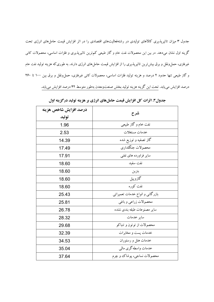جدول ۳ میزان تاثیرپذیری کالاهای تولیدی در رشتهفعالیتهای اقتصادی را در اثر افزایش قیمت حامل های انرژی تحت گزینه اول نشان میدهد. در بین این محصولات نفت خام و گاز طبیعی کم ترین تاثیرپذیری و فلزات اساسی، محصولات کانی غیرفلزی، حملونقل و برق بیش ترین تاثیرپذیری را از افزایش قیمت حاملهای انرژی دارند. به طوری که هزینه تولید نفت خام و گاز طبیعی تنها حدود ۲ درصد و هزینه تولید فلزات اساسی، محصولات کانی غیرفلزی، حمل ونقل و برق بین ۱۰۰ تا ۲۶۰ درصد افزایش می یابد. تحت این گزینه هزینه تولید بخش صنعتومعدن بهطور متوسط ۴۲ درصد افزایش می یابد.

| درصد افزايش شاخص هزينه<br>توليد | شرح                             |
|---------------------------------|---------------------------------|
| 1.96                            | نفت خام و گاز طبیعی             |
| 2.53                            | خدمات مستغلات                   |
| 14.39                           | گاز تصفیه و توزیع شده           |
| 17.49                           | محصولات جنگلداري                |
| 17.91                           | سایر فراورده های نفتی           |
| 18.60                           | نفت سفيد                        |
| 18.60                           | بنزين                           |
| 18.60                           | گازوييل                         |
| 18.60                           | نفت کوره                        |
| 25.43                           | بازرگانی و انواع خدمات تعمیراتی |
| 25.81                           | محصولات زراعي و باغي            |
| 26.78                           | ساير مصنوعات طبقه بندى نشده     |
| 28.32                           | سابر خدمات                      |
| 29.68                           | محصولات از توتون و تنباكو       |
| 32.39                           | خدمات يست و مخابرات             |
| 34.53                           | خدمات هتل و رستوران             |
| 35.04                           | خدمات واسطه گرى مالىي           |
| 37.64                           | محصولات نساجي، پوشاک وچرم       |

جدول۳. اثرات کل افزایش قیمت حاملهای انرژی بر هزینه تولید درگزینه اول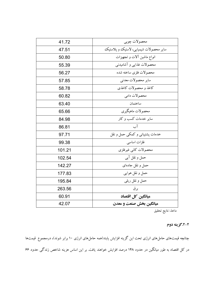| 41.72  | محصولات چوبي                           |
|--------|----------------------------------------|
| 47.51  | ساير محصولات شيميايي، لاستيك و يلاستيك |
| 50.80  | انواع ماشين آلات و تجهيزات             |
| 55.39  | محصولات غذایبی و آشامیدنبی             |
| 56.27  | محصولات فلزى ساخته شده                 |
| 57.85  | ساير محصولات معدني                     |
| 58.78  | كاغذ و محصولات كاغذى                   |
| 60.82  | محصولات دامى                           |
| 63.40  | ساختمان                                |
| 65.66  | محصولات ماهیگیری                       |
| 84.98  | سایر خدمات کسب و کار                   |
| 86.81  | آب                                     |
| 97.71  | خدمات پشتیبانی و کمکی حمل و نقل        |
| 99.38  | فلزات اساسى                            |
| 101.21 | محصولات كانبي غيرفلزي                  |
| 102.54 | حمل و نقل آبي                          |
| 142.27 | حمل ونقل جادهای                        |
| 177.83 | حمل و نقل هوایی                        |
| 195.84 | حمل و نقل ريلي                         |
| 263.56 | بوق                                    |
| 60.91  | میانگین کل اقتصاد                      |
| 42.07  | ميانگين بخش صنعت و معدن                |

ماخذ: نتايج تحقيق

#### ۲-۲.گزینه دوم

چنانچه قیمتهای حامل،های انرژی تحت این گزینه افزایش یابند(همه حاملهای انرژی ۱۰ برابر شوند)، درمجموع قیمتها در کل اقتصاد به طور میانگین در حدود ۱۴۸ درصد افزایش خواهند یافت. بر این اساس هزینه شاخص زندگی حدود ۶۶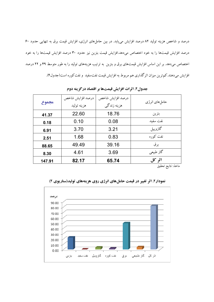درصد و شاخص هزینه تولید ۸۲ درصد افزایش می یابد. در بین حاملهای انرژی، افزایش قیمت برق به تنهایی حدود ۶۰ درصد افزایش قیمتها را به خود اختصاص میدهد.افزایش قیمت بنزین نیز حدود ۳۰ درصد افزایش قیمتها را به خود اختصاص میدهد. بر این اساس افزایش قیمتهای برق و بنزین به ترتیب هزینههای تولید را به طور متوسط ۴۹ و ۲۲ درصد افزایش میدهند.کم ترین میزان اثرگذاری هم مربوط به افزایش قیمت نفتسفید و نفت کوره است(جدول۴).

| مجموع  | درصد افزايش شاخص | درصد افزايش شاخص | حامل های انرژی |
|--------|------------------|------------------|----------------|
|        | هزينه توليد      | هزينه زندگي      |                |
| 41.37  | 22.60            | 18.76            | بنزين          |
| 0.18   | 0.10             | 0.08             | نفت سفيد       |
| 6.91   | 3.70             | 3.21             | گازوييل        |
| 2.51   | 1.68             | 0.83             | نفت کوره       |
| 88.65  | 49.49            | 39.16            | بر ق           |
| 8.30   | 4.61             | 3.69             | گاز طبیعی      |
| 147.91 | 82.17            | 65.74            | اثر کل         |

جدول؟. اثرات افزايش قيمتها بر اقتصاد درگز پنه دوم

ماخذ: نتايج تحقيق



نمودار۲. اثر تغییر در قیمت حاملهای انرژی روی هزینههای تولید(سناریوی ۲)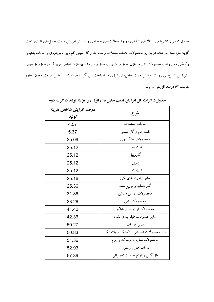جدول ۵ میزان تاثیرپذیری کالاهای تولیدی در رشتهفعالیتهای اقتصادی را در اثر افزایش قیمت حامل های انرژی تحت گزینه دوم نشان میدهد. در بین این محصولات خدمات مستغلات و نفت خام و گاز طبیعی کم ترین تاثیرپذیری و خدمات پشتیبانی و کمکی حمل و نقل، محصولات کانی غیرفلزی، حمل و نقل ریلی، حمل و نقل جادهای، فلزات اساسی، برق، آب و حمل ونقل هوایی بیش ترین تاثیرپذیری را از افزایش قیمت حاملهای انرژی دارند.تحت این گزینه هزینه تولید بخش صنعتومعدن بهطور متوسط ۶۲ درصد افزایش مییابد.

| درصد افزايش شاخص هزينه |                                         |
|------------------------|-----------------------------------------|
| توليد                  | شرح                                     |
| 4.57                   | خدمات مستغلات                           |
| 5.37                   | نفت خام و گاز طبیعی                     |
| 25.09                  | محصولات جنگلداري                        |
| 25.12                  | نفت سفيد                                |
| 25.12                  | گازوييل                                 |
| 25.12                  | بنزين                                   |
| 25.12                  | نفت کوره                                |
| 25.16                  | سایر فراورده های نفتی                   |
| 25.36                  | گاز تصفیه و توزیع شده                   |
| 31.86                  | محصولات زراعي و باغي                    |
| 33.26                  | محصو لات دامي                           |
| 41.42                  | محصولات از توتون و تنباكو               |
| 42.36                  | ساير مصنوعات طبقه بندى نشده             |
| 50.27                  | ساير خدمات                              |
| 50.83                  | سایر محصولات شیمیایی ، لاستیک و پلاستیک |
| 51.36                  | محصولات نساجي، پوشاك و چرم              |
| 52.93                  | خدمات هتل و رستوران                     |
| 57.39                  | بازرگانی و انواع خدمات تعمیراتی         |

جدول۵. اثرات کل افزایش قیمت حاملهای انرژی بر هزینه تولید درگزینه دوم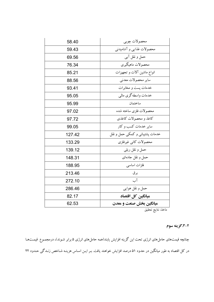| 58.40  | محصولات چوبي                    |
|--------|---------------------------------|
| 59.43  | محصولات غذایبی و آشامیدنبی      |
| 69.56  | حمل و نقل آبي                   |
| 76.34  | محصولات ماهیگیری                |
| 85.21  | انواع ماشین آلات و تجهیزات      |
| 88.56  | ساير محصولات معدنبي             |
| 93.41  | خدمات پست و مخابرات             |
| 95.05  | خدمات واسطهگری مالبی            |
| 95.99  | ساختمان                         |
| 97.02  | محصولات فلزى ساخته شده          |
| 97.72  | كاغذ و محصولات كاغذى            |
| 99.05  | سایر خدمات کسب و کار            |
| 127.42 | خدمات پشتيباني و کمکې حمل و نقل |
| 133.29 | محصولات كانبي غيرفلزى           |
| 139.12 | حمل و نقل ريلي                  |
| 148.31 | حمل و نقل جادهای                |
| 188.95 | فلزات اساسى                     |
| 213.46 | بر ق                            |
| 272.10 | آب                              |
| 286.46 | حمل و نقل هوایی                 |
| 82.17  | میانگین کل اقتصاد               |
| 62.53  | میانگین بخش صنعت و معدن         |

ماخذ: نتايج تحقيق

#### ۲-۳.گزینه سوم

چنانچه قیمتهای حاملهای انرژی تحت این گزینه افزایش یابند(همه حاملهای انرژی ۵ برابر شـوند)، درمجمـوع قیمـتهـا در کل اقتصاد به طور میانگین در حدود ۵۱ درصد افزایش خواهند یافت. بـر ایـن اسـاس هزینـه شـاخص زنـدگی حـدود ۲۲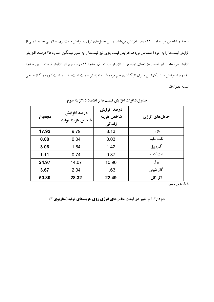درصد و شاخص هزینه تولید ۲۸ درصد افزایش مییابد. در بین حاملهای انرژی، افزایش قیمت برق به تنهایی حدود نیمـی از افزایش قیمتها را به خود اختصاص میدهد.افزایش قیمت بنزین نیز قیمتها را به طـور میـانگین حـدود ۳۵ درصـد افـزایش افزایش میدهد. بر این اساس هزینههای تولید بر اثر افزایش قیمت برق حدود ۱۴ درصد و بر اثر افزایش قیمت بنـزین حـدود ۱۰ درصد افزایش مییابد.کم ترین میـزان اثرگـذاری هـم مربـوط بـه افـزایش قیمـت نفـتسـفید و نفـتکـوره و گـاز طبیعـی است(جدولع).

| مجموع | درصد افزایش<br>شاخص هزينه توليد | درصد افزایش<br>شاخص هزينه<br>زندگی | حاملهای انرژی |
|-------|---------------------------------|------------------------------------|---------------|
| 17.92 | 9.79                            | 8.13                               | بنزين         |
| 0.08  | 0.04                            | 0.03                               | نفت سفيد      |
| 3.06  | 1.64                            | 1.42                               | گازوييل       |
| 1.11  | 0.74                            | 0.37                               | نفت کو رہ     |
| 24.97 | 14.07                           | 10.90                              | بر ق          |
| 3.67  | 2.04                            | 1.63                               | گاز طبیعی     |
| 50.80 | 28.32                           | 22.49                              | اثر کل        |

جدول6.اثرات افزايش قيمتها بر اقتصاد درگزينه سوم

ماخذ: نتايج تحقيق

نمودار۳. اثر تغییر در قیمت حاملهای انرژی روی هزینههای تولید(سناریوی ۳)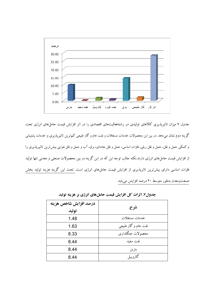

جدول ۷ میزان تاثیرپذیری کالاهای تولیدی در رشتهفعالیتهای اقتصادی را در اثر افزایش قیمت حامل های انرژی تحت گزینه دوم نشان میدهد. در بین این محصولات خدمات مستغلات و نفت خام و گاز طبیعی کم ترین تاثیرپذیری و خدمات پشتیبانی و کمکی حمل و نقل، حمل و نقل ریلی، فلزات اساسی، حمل و نقل جادهای، برق، آب و حمل و نقل هوایی بیش ترین تاثیرپذیری را از افزایش قیمت حاملهای انرژی دارند.نکته جالب توجه این که در این گزینه در بین محصولات صنعتی و معدنی تنها تولید فلزات اساسی دارای بیش ترین تاثرپذیری از افزایش قیمت حاملهای انرژی است. تحت این گزینه هزینه تولید بخش صنعتومعدن بهطور متوسط ٢٠ درصد افزايش مييابد.

| درصد افزایش شاخص هزینه |                     |
|------------------------|---------------------|
| توليد                  | شرح                 |
| 1.48                   | خدمات مستغلات       |
| 1.63                   | نفت خام و گاز طبیعی |
| 8.33                   | محصولات جنگلداري    |
| 8.44                   | نفت سفيد            |
| 8.44                   | بنزين               |
| 8.44                   | گازوييل             |

جدول٧. اثرات كل افزايش قيمت حاملهاي انرژي بر هزينه توليد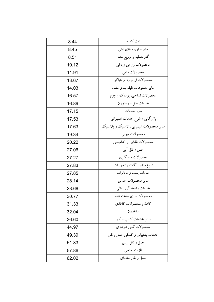| 8.44  | نفت کوره                                |
|-------|-----------------------------------------|
| 8.45  | سایر فراورده های نفتی                   |
| 8.51  | گاز تصفیه و توزیع شده                   |
| 10.12 | محصولات زراعي و باغي                    |
| 11.91 | محصولات دامي                            |
| 13.67 | محصولات از توتون و تنباكو               |
| 14.03 | ساير مصنوعات طبقه بندى نشده             |
| 16.57 | محصولات نساجي، پوشاك و چرم              |
| 16.89 | خدمات هتل و رستوران                     |
| 17.15 | ساير خدمات                              |
| 17.53 | بازرگانی و انواع خدمات تعمیراتی         |
| 17.63 | سایر محصولات شیمیایی ، لاستیک و پلاستیک |
| 19.34 | محصولات چوبي                            |
| 20.22 | محصولات غذایبی و آشامیدنبی              |
| 27.06 | حمل و نقل آبي                           |
| 27.27 | محصولات ماهيگيري                        |
| 27.83 | انواع ماشین آلات و تجهیزات              |
| 27.85 | خدمات پست و مخابرات                     |
| 28.14 | ساير محصولات معدني                      |
| 28.68 | خدمات واسطه گرى مالىي                   |
| 30.77 | محصولات فلزى ساخته شده                  |
| 31.33 | كاغذ و محصولات كاغذى                    |
| 32.04 | ساختمان                                 |
| 36.60 | سایر خدمات کسب و کار                    |
| 44.97 | محصولات كاني غيرفلزي                    |
| 49.39 | خدمات پشتیبانی و کمکی حمل و نقل         |
| 51.83 | حمل و نقل ريلي                          |
| 57.86 | فلزات اساسى                             |
| 62.02 | حمل و نقل جادهای                        |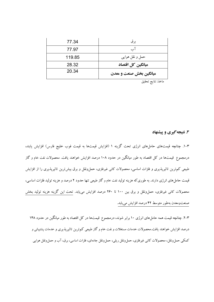| 77.34  | بر ق                    |
|--------|-------------------------|
| 77.97  | آب                      |
| 119.85 | حمل و نقل هوایی         |
| 28.32  | میانگین کل اقتصاد       |
| 20.34  | میانگین بخش صنعت و معدن |

ماخذ: نتايج تحقيق

۳. نتیجه گیری و پیشنهاد

۳–۱. چنانچه قیمتهای حاملهای انرژی تحت گزینه ۱ (افزایش قیمتها به قیمت فوب خلیج فارس) افزایش یابند، درمجموع ً قیمتها در کل اقتصاد به طور میانگین در حدود ۱۰۸ درصد افزایش خواهند یافت. محصولات نفت خام و گاز طبیعی کم ترین تاثیرپذیری و فلزات اساسی، محصولات کانی غیرفلزی، حملونقل و برق بیش ترین تاثیرپذیری را از افزایش قیمت حامل های انرژی دارند. به طوری که هزینه تولید نفت خام و گاز طبیعی تنها حدود ۲ درصد و هزینه تولید فلزات اساسی، محصولات کانی غیرفلزی، حملeنقل و برق بین ۱۰۰ تا ۲۶۰ درصد افزایش می،یابد. تحت این گزینه هزینه تولید بخش صنعتومعدن بهطور متوسط ۴۲ درصد افزايش مىيابد.

۳–۲. چنانچه قیمت همه حاملهای انرژی ۱۰ برابر شوند، درمجموع قیمتها در کل اقتصاد به طور میانگین در حدود ۱۴۸ درصد افزایش خواهند یافت.محصولات خدمات مستغلات و نفت خام و گاز طبیعی کم ترین تاثیریذیری و خدمات یشتیبانی و کمکی حمل ونقل، محصولات کانی غیرفلزی، حملوونقل ریلی، حملونقل جادهای، فلزات اساسی، برق، آب و حمل ونقل هوایی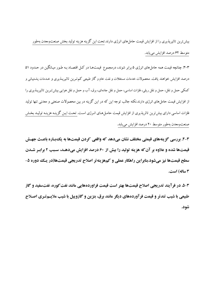بیش ترین تاثیرپذیری را از افزایش قیمت حامل،ای انرژی دارند.تحت این گزینه هزینه تولید بخش صنعتومعدن بهطور متوسط ۶۲ درصد افزایش می یابد.

۳-۳. چنانچه قیمت همه حامل های انرژی ۵ برابر شوند، درمجموع قیمتهـا در کـل اقتصـاد بـه طـور میـانگـین در حـدود ۵۱ درصد افزایش خواهند یافت. محصولات خدمات مستغلات و نفت خام و گاز طبیعی کم تـرین تاثیرپـذیری و خـدمات پشـتیبانی و کمکی حمل و نقل، حمل و نقل ریلی، فلزات اساسی، حمل و نقل جادهای، برق، آب و حمل و نقل هوایی بیش تـرین تاثیریــذیری را از افزایش قیمت حامل۵های انرژی دارند.نکته جالب توجه این که در این گزینه در بین محصولات صنعتی و معدنی تنها تولید فلزات اساسی دارای بیش ترین تاثرپذیری از افزایش قیمت حامـل۱صای انـرژی اسـت. تحـت ایـن گزینـه هزینـه تولیـد بخـش صنعتومعدن بهطور متوسط ٢٠ درصد افزايش مىيابد.

٣-٣. بررسي گزينههاي قيمتي مختلف نشان ميدهد که واقعي کردن قيمتها به يک باره باعـث جهـش قیمتها شده و علاوه بر آن که هزینه تولید را بیش از ۶۰ درصد افزایش میدهـد، سـبب ۲ برابـر شـدن سطح قیمتها نیز میشود.بنابراین راهکار عملی و کمهزینه تر اصلاح تدریجی قیمتها(در یـک دوره ۵-۳ ساله) است.

۳-۵. در فرآیند تدریجی اصلاح قیمتها بهتر است قیمت فراوردههایی مانند نفت کوره، نفتسفید و گاز طبیعی با شیب تندتر و قیمت فرآوردههای دیگر مانند برق، بنزین و گازوییل با شیب ملایـم تـری اصـلاح شود.